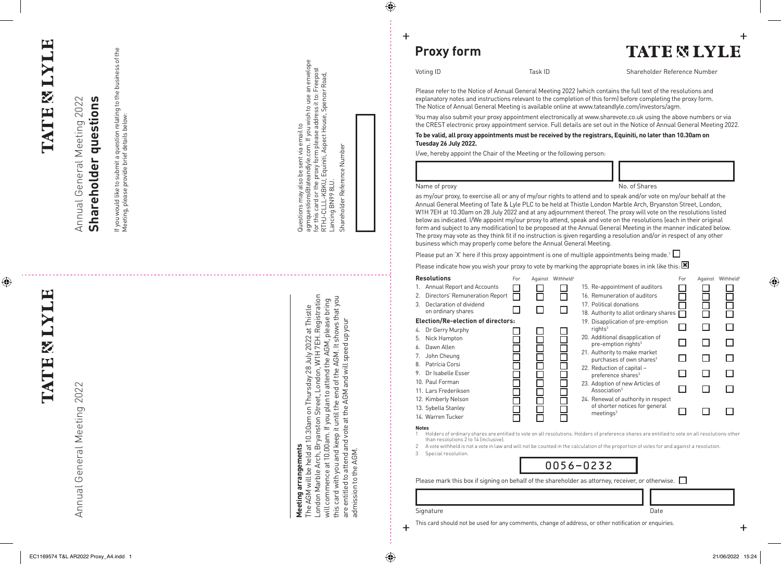## E **LATE & I**

E

**LATE & I** 

 $\bigoplus$ 

General Meeting 2022

Annual General Meeting 2019

Annual

## Annual General Meeting 2022 Annual General Meeting 2022 Annual General Meeting 2022 Annual General Meeting 2022

Shareholder questions **Shareholder questions Shareholder questions**

on relating to the business of the<br>ls below: If you would like to submit a question relating to the business of the If you would like to submit a question relating to the business of reeting, please provide the details below: Meeting, please provide brief details below: to submit a questi<br>provide brief detai provide b like<sub>1</sub> ase If you would li<br>Meeting, plea

> arrangements **Meeting arrangements** Meeting

Questions may also be sent via email to

Questions may also be sent via email to

agmquestions@tateandlyle.com. If you wish to use an envelope for this card or the proxy form please address it to: Freepost RTHJ-CLLL-KBKU, Equiniti, Aspect House, Spencer Road,

Questions may also be sent via email to<br>agmquestions(diateandlyle.com. If you wish to use an envelope<br>for this card or the proxy form please address it to: Freepost<br>RTHJ-CLLL-KBKU, Equiniti, Aspect House, Spencer Road,<br>Lan

agmquestions@tateandlyle.com. If you wish to use an envelope for this card or the proxy form please address it to: Freepost RTHJ-CLLL-KBKU, Equiniti, Aspect House, Spencer Road,

Lancing BN99 8LU.

Shareholder Reference Number

Shareholder Reference Number

Lancing BN99 8LU.<br>Shareholder Reference Number

**rreeting ari angements**<br>The AGM will be held at 10.30am on Thursday 28 July 2022 at Thistle<br>London Marble Arch, Bryanston Street, London, W1H 7EH. Registration<br>will commence at 10.00am. If you plan to attend the AGM, plea London Marble Arch, Bryanston Street, London, W1H 7EH. Registration this card with you and keep it until the end of the AGM. It shows that you will commence at 10.00am. If you plan to attend the AGM, please bring London Marble Arch, Bryanston Street, London, W1H 7EH. Registratio The AGM will be held at 10.30am on Thursday 28 July 2022 at Thistle ad mission to the AGM. are entitled to attend and vote at the AGM and will speed up your this card with you and keep it until the end of the AGM. It shows that are entitled to attend and vote at the AGM and will speed up your will commence at 10.00am. If you plan to attend the AGM, p The AGM will be held at 1 admission to the AGM.

**Proxy form Proxy form**

 $\bigoplus$ 

 $\ddot{}$ 

**TATE & LYLE** 

Voting ID

Task ID Shareholder Reference Number Task ID Shareholder Reference Number

## To be valid, all proxy appointments must be received by the registrars, Equiniti, no later than 10.30am on **To be valid, all proxy appointments must be received by the registrars, Equiniti, no later than 10:30am on Tuesday 26 July 2022.**

| Voting ID<br>Task ID                                                                                                                                                                                                                                                                                                                                                                                                                            |               |                               | Shareholder Reference Number                                                                                                                                                                                                                                                                                                                                                                                                                                                                                                                                                                                                                                                                                                      |          |  |                  |
|-------------------------------------------------------------------------------------------------------------------------------------------------------------------------------------------------------------------------------------------------------------------------------------------------------------------------------------------------------------------------------------------------------------------------------------------------|---------------|-------------------------------|-----------------------------------------------------------------------------------------------------------------------------------------------------------------------------------------------------------------------------------------------------------------------------------------------------------------------------------------------------------------------------------------------------------------------------------------------------------------------------------------------------------------------------------------------------------------------------------------------------------------------------------------------------------------------------------------------------------------------------------|----------|--|------------------|
|                                                                                                                                                                                                                                                                                                                                                                                                                                                 |               |                               | Please refer to the Notice of Annual General Meeting 2022 (which contains the full text of the resolutions and<br>explanatory notes and instructions relevant to the completion of this form) before completing the proxy form.<br>The Notice of Annual General Meeting is available online at www.tateandlyle.com/investors/agm.                                                                                                                                                                                                                                                                                                                                                                                                 |          |  |                  |
|                                                                                                                                                                                                                                                                                                                                                                                                                                                 |               |                               | You may also submit your proxy appointment electronically at www.sharevote.co.uk using the above numbers or via<br>the CREST electronic proxy appointment service. Full details are set out in the Notice of Annual General Meeting 2022.                                                                                                                                                                                                                                                                                                                                                                                                                                                                                         |          |  |                  |
| Tuesday 26 July 2022.                                                                                                                                                                                                                                                                                                                                                                                                                           |               |                               | To be valid, all proxy appointments must be received by the registrars, Equiniti, no later than 10.30am on                                                                                                                                                                                                                                                                                                                                                                                                                                                                                                                                                                                                                        |          |  |                  |
| I/we, hereby appoint the Chair of the Meeting or the following person:                                                                                                                                                                                                                                                                                                                                                                          |               |                               |                                                                                                                                                                                                                                                                                                                                                                                                                                                                                                                                                                                                                                                                                                                                   |          |  |                  |
|                                                                                                                                                                                                                                                                                                                                                                                                                                                 |               |                               |                                                                                                                                                                                                                                                                                                                                                                                                                                                                                                                                                                                                                                                                                                                                   |          |  |                  |
| Name of proxy                                                                                                                                                                                                                                                                                                                                                                                                                                   | No. of Shares |                               |                                                                                                                                                                                                                                                                                                                                                                                                                                                                                                                                                                                                                                                                                                                                   |          |  |                  |
| business which may properly come before the Annual General Meeting.                                                                                                                                                                                                                                                                                                                                                                             |               |                               | Annual General Meeting of Tate & Lyle PLC to be held at Thistle London Marble Arch, Bryanston Street, London,<br>W1H 7EH at 10.30am on 28 July 2022 and at any adjournment thereof. The proxy will vote on the resolutions listed<br>below as indicated. I/We appoint my/our proxy to attend, speak and vote on the resolutions (each in their original<br>form and subject to any modification) to be proposed at the Annual General Meeting in the manner indicated below.<br>The proxy may vote as they think fit if no instruction is given regarding a resolution and/or in respect of any other                                                                                                                             |          |  |                  |
|                                                                                                                                                                                                                                                                                                                                                                                                                                                 |               |                               | Please put an 'X' here if this proxy appointment is one of multiple appointments being made. <sup>1</sup> $\Box$                                                                                                                                                                                                                                                                                                                                                                                                                                                                                                                                                                                                                  |          |  |                  |
|                                                                                                                                                                                                                                                                                                                                                                                                                                                 |               |                               | Please indicate how you wish your proxy to vote by marking the appropriate boxes in ink like this: $\boxtimes$                                                                                                                                                                                                                                                                                                                                                                                                                                                                                                                                                                                                                    |          |  |                  |
| Resolutions<br>1. Annual Report and Accounts<br>2. Directors' Remuneration Report<br>3. Declaration of dividend<br>on ordinary shares<br><b>Election/Re-election of directors:</b><br>4. Dr Gerry Murphy<br>5. Nick Hampton<br>6. Dawn Allen<br>7. John Cheung<br>8. Patrícia Corsi<br>9. Dr Isabelle Esser<br>10. Paul Forman<br>11. Lars Frederiksen<br>12. Kimberly Nelson<br>13. Sybella Stanley<br>14. Warren Tucker<br><b>Notes</b><br>1. | For           | Against Withheld <sup>2</sup> | 15. Re-appointment of auditors<br>16. Remuneration of auditors<br>17. Political donations<br>18. Authority to allot ordinary shares<br>19. Disapplication of pre-emption<br>rights <sup>3</sup><br>20. Additional disapplication of<br>pre-emption rights <sup>3</sup><br>21. Authority to make market<br>purchases of own shares <sup>3</sup><br>22. Reduction of capital -<br>preference shares <sup>3</sup><br>23. Adoption of new Articles of<br>Association <sup>3</sup><br>24. Renewal of authority in respect<br>of shorter notices for general<br>meetings <sup>3</sup><br>Holders of ordinary shares are entitled to vote on all resolutions. Holders of preference shares are entitled to vote on all resolutions other | For<br>П |  | Against Withheld |
| than resolutions 2 to 14 (inclusive).<br>2<br>3<br>Special resolution.                                                                                                                                                                                                                                                                                                                                                                          |               |                               | A vote withheld is not a vote in law and will not be counted in the calculation of the proportion of votes for and against a resolution.<br>0056-0232<br>Please mark this box if signing on behalf of the shareholder as attorney, receiver, or otherwise. $\Box$                                                                                                                                                                                                                                                                                                                                                                                                                                                                 |          |  |                  |
|                                                                                                                                                                                                                                                                                                                                                                                                                                                 |               |                               |                                                                                                                                                                                                                                                                                                                                                                                                                                                                                                                                                                                                                                                                                                                                   |          |  |                  |
| Signature                                                                                                                                                                                                                                                                                                                                                                                                                                       |               |                               | Date                                                                                                                                                                                                                                                                                                                                                                                                                                                                                                                                                                                                                                                                                                                              |          |  |                  |

**Notes**

3 Special resolution.



 $\ddot{}$ 

Date

This card should not be used for any comments, change of address, or other notification or enquiries. This card should not be used for any comments, change of address, or other notification or enquiries.

 $\ddot{}$ 

♦